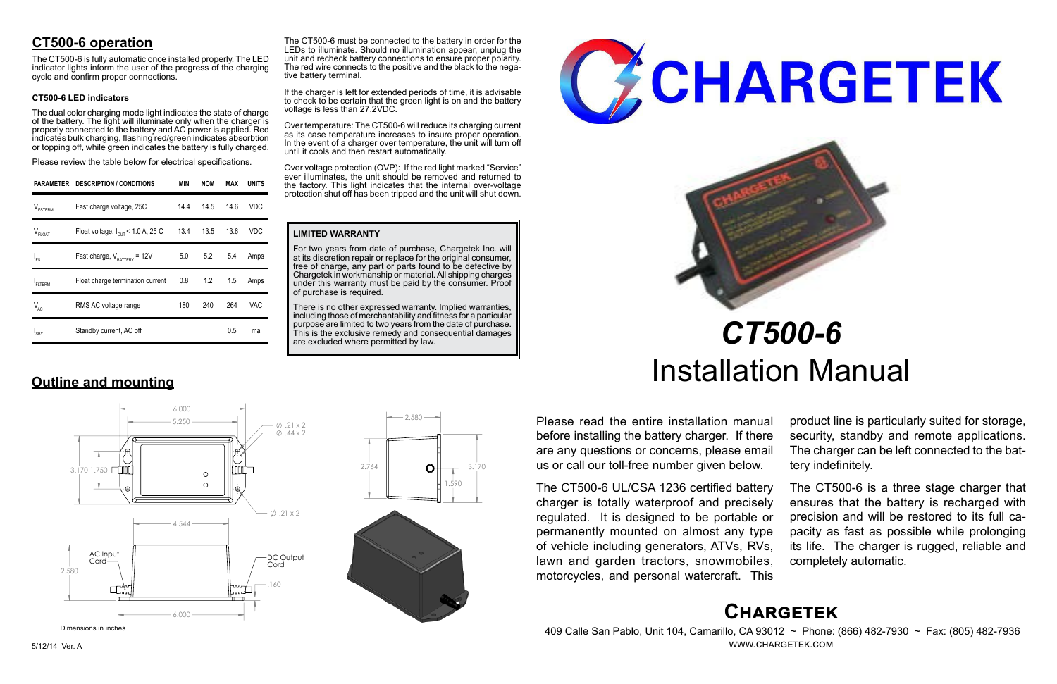# **Chargetek**

 409 Calle San Pablo, Unit 104, Camarillo, CA 93012 ~ Phone: (866) 482-7930 ~ Fax: (805) 482-7936 www.chargetek.com

# **CT500-6 operation**

The dual color charging mode light indicates the state of charge of the battery. The light will illuminate only when the charger is properly connected to the battery and AC power is applied. Red indicates bulk charging, flashing red/green indicates absorbtion or topping off, while green indicates the battery is fully charged.

The CT500-6 is fully automatic once installed properly. The LED indicator lights inform the user of the progress of the charging cycle and confirm proper connections.

### **CT500-6 LED indicators**

Please review the table below for electrical specifications.

Please read the entire installation manual before installing the battery charger. If there are any questions or concerns, please email us or call our toll-free number given below.

The CT500-6 UL/CSA 1236 certified battery charger is totally waterproof and precisely regulated. It is designed to be portable or permanently mounted on almost any type of vehicle including generators, ATVs, RVs, lawn and garden tractors, snowmobiles, motorcycles, and personal watercraft. This

There is no other expressed warranty. Implied warranties, including those of merchantability and fitness for a particular purpose are limited to two years from the date of purchase. This is the exclusive remedy and consequential damages are excluded where permitted by law.





product line is particularly suited for storage, security, standby and remote applications. The charger can be left connected to the battery indefinitely.

The CT500-6 is a three stage charger that ensures that the battery is recharged with precision and will be restored to its full capacity as fast as possible while prolonging its life. The charger is rugged, reliable and completely automatic.

# *CT500-6* Installation Manual

|                     | PARAMETER DESCRIPTION / CONDITIONS            | <b>MIN</b> | <b>NOM</b> | MAX  | <b>UNITS</b> |
|---------------------|-----------------------------------------------|------------|------------|------|--------------|
| $V_{\text{FSTERM}}$ | Fast charge voltage, 25C                      | 14.4       | 14.5       | 14.6 | VDC          |
| $V_{FLOAT}$         | Float voltage, $I_{\text{out}}$ < 1.0 A, 25 C |            | 13.4 13.5  | 13.6 | VDC          |
| $I_{FS}$            | Fast charge, $V_{\text{r}} = 12V$             |            | 5.0 5.2    | 5.4  | Amps         |
| FLTERM              | Float charge termination current              |            | $0.8$ 1.2  | 1.5  | Amps         |
| $V_{AC}$            | RMS AC voltage range                          | 180        | 240        | 264  | VAC          |
| I <sub>SBY</sub>    | Standby current, AC off                       |            |            | 0.5  | ma           |

**Outline and mounting**

#### **LIMITED WARRANTY**

For two years from date of purchase, Chargetek Inc. will at its discretion repair or replace for the original consumer, free of charge, any part or parts found to be defective by Chargetek in workmanship or material. All shipping charges under this warranty must be paid by the consumer. Proof of purchase is required.



If the charger is left for extended periods of time, it is advisable to check to be certain that the green light is on and the battery voltage is less than 27.2VDC.

Over temperature: The CT500-6 will reduce its charging current as its case temperature increases to insure proper operation. In the event of a charger over temperature, the unit will turn off until it cools and then restart automatically.

Over voltage protection (OVP): If the red light marked "Service" ever illuminates, the unit should be removed and returned to the factory. This light indicates that the internal over-voltage protection shut off has been tripped and the unit will shut down.

 6.000  $5.250$   $\phi$  .21 x 2  $0.44 \times 2$  $\Box$  000 3.170 1.750  $\circ$  $\circ$  $\emptyset$ .21 x 2 4.544 AC Input DC Output Cord-Cord 2.580 .160 6.000



Dimensions in inches